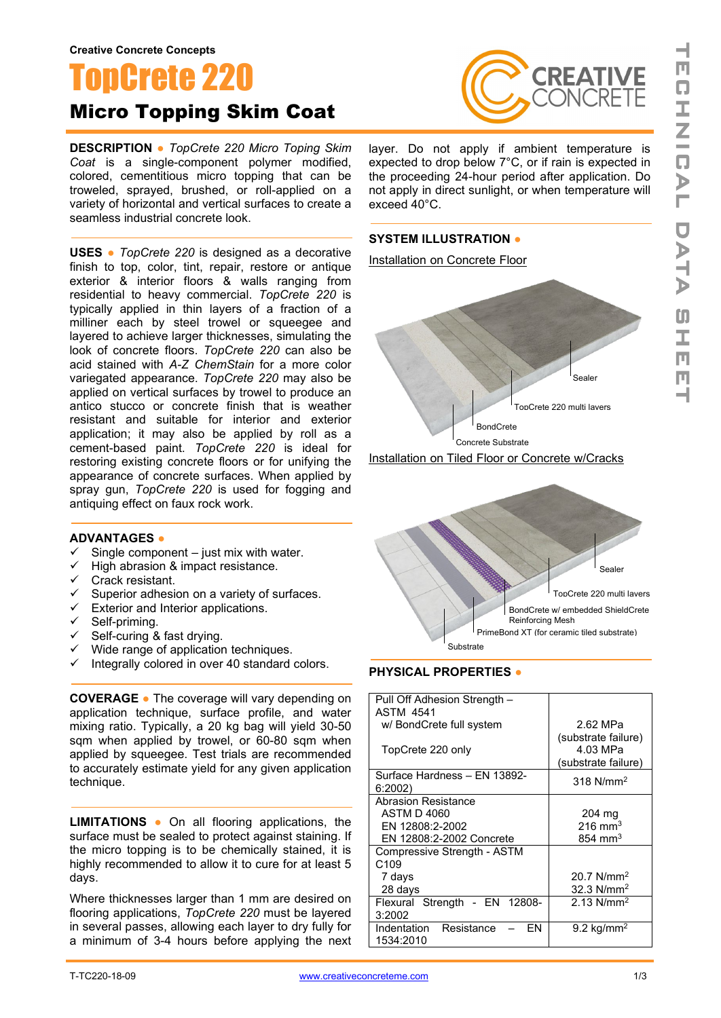# TopCrete 220 Micro Topping Skim Coat

**DESCRIPTION ●** *TopCrete 220 Micro Toping Skim Coat* is a single-component polymer modified, colored, cementitious micro topping that can be troweled, sprayed, brushed, or roll-applied on a variety of horizontal and vertical surfaces to create a seamless industrial concrete look.

**USES ●** *TopCrete 220* is designed as a decorative finish to top, color, tint, repair, restore or antique exterior & interior floors & walls ranging from residential to heavy commercial. *TopCrete 220* is typically applied in thin layers of a fraction of a milliner each by steel trowel or squeegee and layered to achieve larger thicknesses, simulating the look of concrete floors. *TopCrete 220* can also be acid stained with *A-Z ChemStain* for a more color variegated appearance. *TopCrete 220* may also be applied on vertical surfaces by trowel to produce an antico stucco or concrete finish that is weather resistant and suitable for interior and exterior application; it may also be applied by roll as a cement-based paint. *TopCrete 220* is ideal for restoring existing concrete floors or for unifying the appearance of concrete surfaces. When applied by spray gun, *TopCrete 220* is used for fogging and antiquing effect on faux rock work.

### **ADVANTAGES ●**

- Single component just mix with water.
- $\checkmark$  High abrasion & impact resistance.
- $\checkmark$  Crack resistant.
- $\checkmark$  Superior adhesion on a variety of surfaces.
- $\checkmark$  Exterior and Interior applications.
- $\checkmark$  Self-priming.
- $\checkmark$  Self-curing & fast drying.
- $\checkmark$  Wide range of application techniques.
- $\checkmark$  Integrally colored in over 40 standard colors.

**COVERAGE ●** The coverage will vary depending on application technique, surface profile, and water mixing ratio. Typically, a 20 kg bag will yield 30-50 sqm when applied by trowel, or 60-80 sqm when applied by squeegee. Test trials are recommended to accurately estimate yield for any given application technique.

**LIMITATIONS ●** On all flooring applications, the surface must be sealed to protect against staining. If the micro topping is to be chemically stained, it is highly recommended to allow it to cure for at least 5 days.

Where thicknesses larger than 1 mm are desired on flooring applications, *TopCrete 220* must be layered in several passes, allowing each layer to dry fully for a minimum of 3-4 hours before applying the next



layer. Do not apply if ambient temperature is expected to drop below 7°C, or if rain is expected in the proceeding 24-hour period after application. Do not apply in direct sunlight, or when temperature will exceed 40°C.

# **SYSTEM ILLUSTRATION ●**







# **PHYSICAL PROPERTIES ●**

| Pull Off Adhesion Strength -<br>ASTM 4541    |                                                        |
|----------------------------------------------|--------------------------------------------------------|
| w/ BondCrete full system                     | 2.62 MPa                                               |
| TopCrete 220 only                            | (substrate failure)<br>4.03 MPa<br>(substrate failure) |
| Surface Hardness - EN 13892-<br>6:2002       | $318$ N/mm <sup>2</sup>                                |
| <b>Abrasion Resistance</b>                   |                                                        |
| ASTM D 4060                                  | $204 \text{ mg}$                                       |
| EN 12808:2-2002                              | $216 \text{ mm}^3$                                     |
| EN 12808:2-2002 Concrete                     | $854 \text{ mm}^3$                                     |
| Compressive Strength - ASTM                  |                                                        |
| C <sub>109</sub>                             |                                                        |
| 7 days                                       | 20.7 $N/mm^2$                                          |
| 28 days                                      | 32.3 $N/mm^2$                                          |
| Flexural Strength - EN 12808-                | $2.13$ N/mm <sup>2</sup>                               |
| 3:2002                                       |                                                        |
| Indentation<br>Resistance<br>FN<br>1534:2010 | $9.2 \text{ kg/mm}^2$                                  |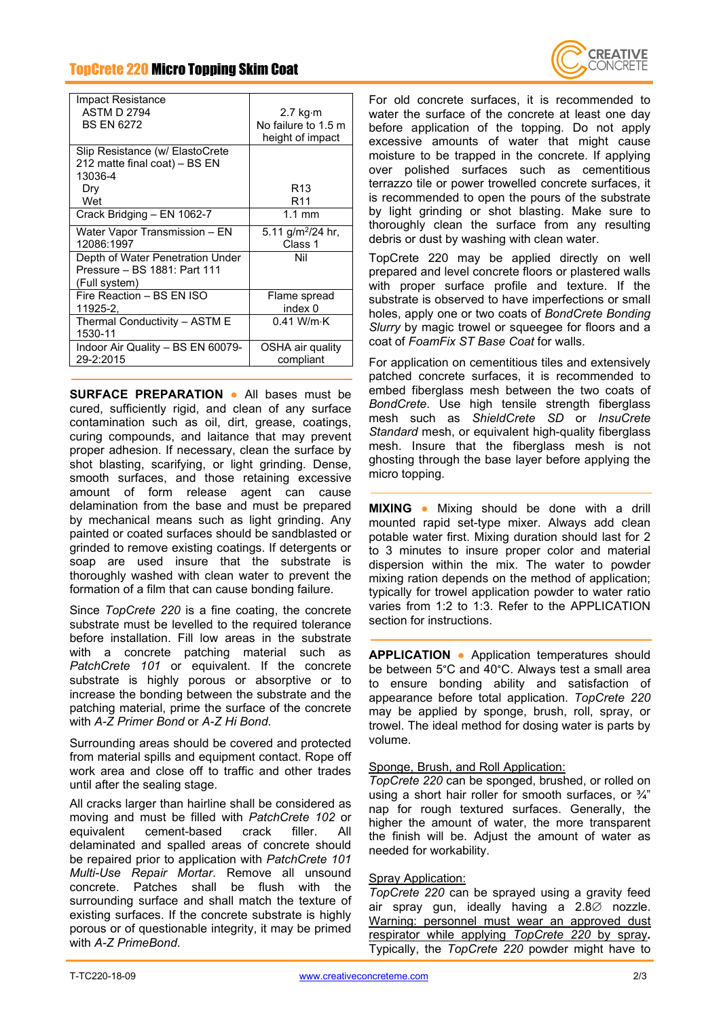# TopCrete 220 Micro Topping Skim Coat

| <u>Uporoto zzu miuru rupping Ukini Uudt</u>                                               |                                                             |  |
|-------------------------------------------------------------------------------------------|-------------------------------------------------------------|--|
|                                                                                           |                                                             |  |
| Impact Resistance<br><b>ASTM D 2794</b><br><b>BS EN 6272</b>                              | 2.7 kg $\cdot$ m<br>No failure to 1.5 m<br>height of impact |  |
| Slip Resistance (w/ ElastoCrete<br>212 matte final coat) – BS EN<br>13036-4<br>Dry<br>Wet | R13<br>R <sub>11</sub>                                      |  |
| Crack Bridging - EN 1062-7                                                                | $1.1 \text{ mm}$                                            |  |
| Water Vapor Transmission - EN<br>12086:1997                                               | 5.11 g/m <sup>2</sup> /24 hr,<br>Class 1                    |  |
| Depth of Water Penetration Under<br>Pressure - BS 1881: Part 111<br>(Full system)         | Nil                                                         |  |
| Fire Reaction - BS EN ISO<br>11925-2,                                                     | Flame spread<br>index 0                                     |  |
| Thermal Conductivity - ASTM E<br>1530-11                                                  | $0.41$ W/m $\cdot$ K                                        |  |
| Indoor Air Quality - BS EN 60079-<br>29-2:2015                                            | OSHA air quality<br>compliant                               |  |
|                                                                                           |                                                             |  |

**SURFACE PREPARATION ●** All bases must be cured, sufficiently rigid, and clean of any surface contamination such as oil, dirt, grease, coatings, curing compounds, and laitance that may prevent proper adhesion. If necessary, clean the surface by shot blasting, scarifying, or light grinding. Dense, smooth surfaces, and those retaining excessive amount of form release agent can cause delamination from the base and must be prepared by mechanical means such as light grinding. Any painted or coated surfaces should be sandblasted or grinded to remove existing coatings. If detergents or soap are used insure that the substrate is thoroughly washed with clean water to prevent the formation of a film that can cause bonding failure.

Since *TopCrete 220* is a fine coating, the concrete substrate must be levelled to the required tolerance before installation. Fill low areas in the substrate with a concrete patching material such as *PatchCrete 101* or equivalent. If the concrete substrate is highly porous or absorptive or to increase the bonding between the substrate and the patching material, prime the surface of the concrete with *A-Z Primer Bond* or *A-Z Hi Bond*.

Surrounding areas should be covered and protected from material spills and equipment contact. Rope off work area and close off to traffic and other trades until after the sealing stage.

All cracks larger than hairline shall be considered as moving and must be filled with *PatchCrete 102* or equivalent cement-based crack filler. All delaminated and spalled areas of concrete should be repaired prior to application with *PatchCrete 101 Multi-Use Repair Mortar*. Remove all unsound concrete. Patches shall be flush with the surrounding surface and shall match the texture of existing surfaces. If the concrete substrate is highly porous or of questionable integrity, it may be primed with *A-Z PrimeBond*.

For old concrete surfaces, it is recommended to water the surface of the concrete at least one day before application of the topping. Do not apply excessive amounts of water that might cause moisture to be trapped in the concrete. If applying over polished surfaces such as cementitious terrazzo tile or power trowelled concrete surfaces, it is recommended to open the pours of the substrate by light grinding or shot blasting. Make sure to thoroughly clean the surface from any resulting debris or dust by washing with clean water.

TopCrete 220 may be applied directly on well prepared and level concrete floors or plastered walls with proper surface profile and texture. If the substrate is observed to have imperfections or small holes, apply one or two coats of *BondCrete Bonding Slurry* by magic trowel or squeegee for floors and a coat of *FoamFix ST Base Coat* for walls.

For application on cementitious tiles and extensively patched concrete surfaces, it is recommended to embed fiberglass mesh between the two coats of *BondCrete*. Use high tensile strength fiberglass mesh such as *ShieldCrete SD* or *InsuCrete Standard* mesh, or equivalent high-quality fiberglass mesh. Insure that the fiberglass mesh is not ghosting through the base layer before applying the micro topping.

**MIXING ●** Mixing should be done with a drill mounted rapid set-type mixer. Always add clean potable water first. Mixing duration should last for 2 to 3 minutes to insure proper color and material dispersion within the mix. The water to powder mixing ration depends on the method of application; typically for trowel application powder to water ratio varies from 1:2 to 1:3. Refer to the APPLICATION section for instructions.

**APPLICATION ●** Application temperatures should be between 5°C and 40°C. Always test a small area to ensure bonding ability and satisfaction of appearance before total application. *TopCrete 220* may be applied by sponge, brush, roll, spray, or trowel. The ideal method for dosing water is parts by volume.

### Sponge, Brush, and Roll Application:

*TopCrete 220* can be sponged, brushed, or rolled on using a short hair roller for smooth surfaces, or  $\frac{3}{4}$ " nap for rough textured surfaces. Generally, the higher the amount of water, the more transparent the finish will be. Adjust the amount of water as needed for workability.

## Spray Application:

*TopCrete 220* can be sprayed using a gravity feed air spray gun, ideally having a 2.8∅ nozzle. Warning: personnel must wear an approved dust respirator while applying *TopCrete 220* by spray*.* Typically, the *TopCrete 220* powder might have to